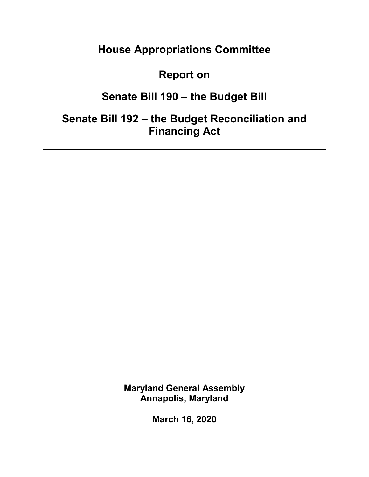**House Appropriations Committee** 

**Report on** 

# **Senate Bill 190 – the Budget Bill**

**Senate Bill 192 – the Budget Reconciliation and Financing Act** 

> **Maryland General Assembly Annapolis, Maryland**

> > **March 16, 2020**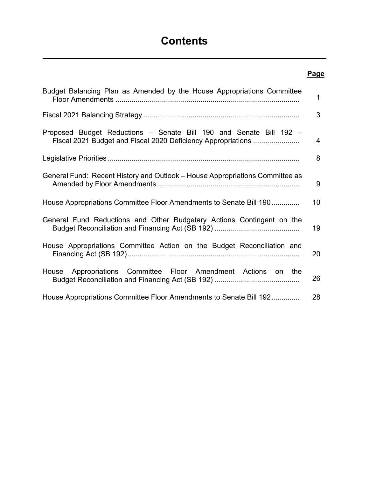# **Contents**

## **Page**

| Budget Balancing Plan as Amended by the House Appropriations Committee                                                             | $\mathbf 1$    |
|------------------------------------------------------------------------------------------------------------------------------------|----------------|
|                                                                                                                                    | 3              |
| Proposed Budget Reductions – Senate Bill 190 and Senate Bill 192 –<br>Fiscal 2021 Budget and Fiscal 2020 Deficiency Appropriations | $\overline{4}$ |
|                                                                                                                                    | 8              |
| General Fund: Recent History and Outlook – House Appropriations Committee as                                                       | 9              |
| House Appropriations Committee Floor Amendments to Senate Bill 190                                                                 | 10             |
| General Fund Reductions and Other Budgetary Actions Contingent on the                                                              | 19             |
| House Appropriations Committee Action on the Budget Reconciliation and                                                             | 20             |
| House Appropriations Committee Floor Amendment Actions on<br>the                                                                   | 26             |
| House Appropriations Committee Floor Amendments to Senate Bill 192                                                                 | 28             |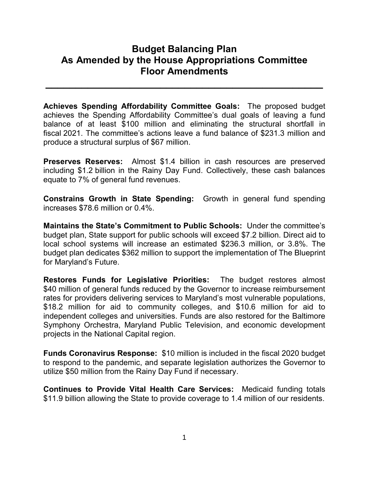# **Budget Balancing Plan As Amended by the House Appropriations Committee Floor Amendments**

**\_\_\_\_\_\_\_\_\_\_\_\_\_\_\_\_\_\_\_\_\_\_\_\_\_\_\_\_\_\_\_\_\_\_\_\_\_\_\_\_\_\_\_\_\_\_** 

**Achieves Spending Affordability Committee Goals:** The proposed budget achieves the Spending Affordability Committee's dual goals of leaving a fund balance of at least \$100 million and eliminating the structural shortfall in fiscal 2021. The committee's actions leave a fund balance of \$231.3 million and produce a structural surplus of \$67 million.

**Preserves Reserves:** Almost \$1.4 billion in cash resources are preserved including \$1.2 billion in the Rainy Day Fund. Collectively, these cash balances equate to 7% of general fund revenues.

**Constrains Growth in State Spending:** Growth in general fund spending increases \$78.6 million or 0.4%.

**Maintains the State's Commitment to Public Schools:** Under the committee's budget plan, State support for public schools will exceed \$7.2 billion. Direct aid to local school systems will increase an estimated \$236.3 million, or 3.8%. The budget plan dedicates \$362 million to support the implementation of The Blueprint for Maryland's Future.

**Restores Funds for Legislative Priorities:** The budget restores almost \$40 million of general funds reduced by the Governor to increase reimbursement rates for providers delivering services to Maryland's most vulnerable populations, \$18.2 million for aid to community colleges, and \$10.6 million for aid to independent colleges and universities. Funds are also restored for the Baltimore Symphony Orchestra, Maryland Public Television, and economic development projects in the National Capital region.

**Funds Coronavirus Response:** \$10 million is included in the fiscal 2020 budget to respond to the pandemic, and separate legislation authorizes the Governor to utilize \$50 million from the Rainy Day Fund if necessary.

**Continues to Provide Vital Health Care Services:** Medicaid funding totals \$11.9 billion allowing the State to provide coverage to 1.4 million of our residents.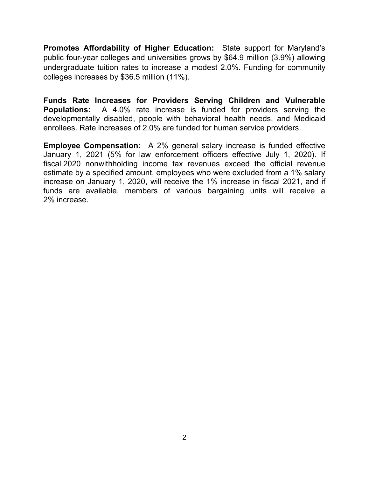**Promotes Affordability of Higher Education:** State support for Maryland's public four-year colleges and universities grows by \$64.9 million (3.9%) allowing undergraduate tuition rates to increase a modest 2.0%. Funding for community colleges increases by \$36.5 million (11%).

**Funds Rate Increases for Providers Serving Children and Vulnerable Populations:** A 4.0% rate increase is funded for providers serving the developmentally disabled, people with behavioral health needs, and Medicaid enrollees. Rate increases of 2.0% are funded for human service providers.

**Employee Compensation:** A 2% general salary increase is funded effective January 1, 2021 (5% for law enforcement officers effective July 1, 2020). If fiscal 2020 nonwithholding income tax revenues exceed the official revenue estimate by a specified amount, employees who were excluded from a 1% salary increase on January 1, 2020, will receive the 1% increase in fiscal 2021, and if funds are available, members of various bargaining units will receive a 2% increase.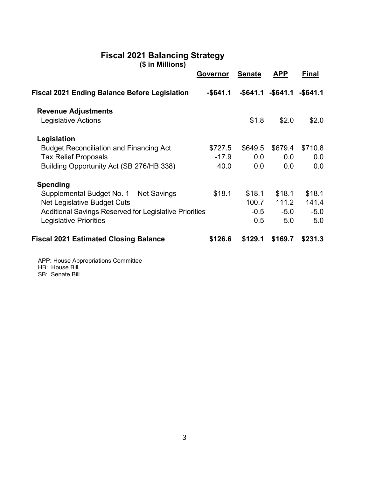## **Fiscal 2021 Balancing Strategy (\$ in Millions)**

|                                                        | Governor    | <b>Senate</b> | APP                     | Final       |
|--------------------------------------------------------|-------------|---------------|-------------------------|-------------|
| <b>Fiscal 2021 Ending Balance Before Legislation</b>   | $-$ \$641.1 |               | $-$ \$641.1 $-$ \$641.1 | $-$ \$641.1 |
| <b>Revenue Adjustments</b>                             |             |               |                         |             |
| <b>Legislative Actions</b>                             |             | \$1.8         | \$2.0                   | \$2.0       |
| Legislation                                            |             |               |                         |             |
| <b>Budget Reconciliation and Financing Act</b>         | \$727.5     | \$649.5       | \$679.4                 | \$710.8     |
| <b>Tax Relief Proposals</b>                            | $-17.9$     | 0.0           | 0.0                     | 0.0         |
| Building Opportunity Act (SB 276/HB 338)               | 40.0        | 0.0           | 0.0                     | 0.0         |
| <b>Spending</b>                                        |             |               |                         |             |
| Supplemental Budget No. 1 – Net Savings                | \$18.1      | \$18.1        | \$18.1                  | \$18.1      |
| Net Legislative Budget Cuts                            |             | 100.7         | 111.2                   | 141.4       |
| Additional Savings Reserved for Legislative Priorities |             | $-0.5$        | $-5.0$                  | $-5.0$      |
| Legislative Priorities                                 |             | 0.5           | 5.0                     | 5.0         |
| <b>Fiscal 2021 Estimated Closing Balance</b>           | \$126.6     | \$129.1       | \$169.7                 | \$231.3     |
|                                                        |             |               |                         |             |

APP: House Appropriations Committee HB: House Bill SB: Senate Bill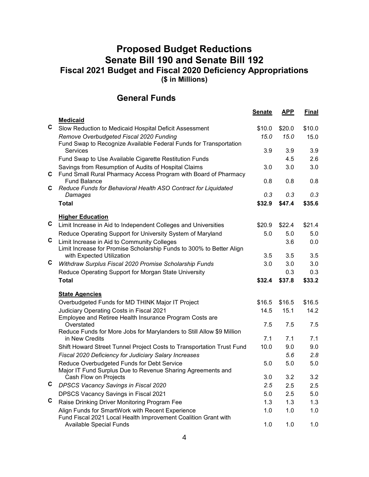# **Proposed Budget Reductions Senate Bill 190 and Senate Bill 192 Fiscal 2021 Budget and Fiscal 2020 Deficiency Appropriations (\$ in Millions)**

# **General Funds**

|   |                                                                                                                         | <b>Senate</b> | <b>APP</b> | <b>Final</b> |
|---|-------------------------------------------------------------------------------------------------------------------------|---------------|------------|--------------|
|   | <b>Medicaid</b>                                                                                                         |               |            |              |
| C | Slow Reduction to Medicaid Hospital Deficit Assessment                                                                  | \$10.0        | \$20.0     | \$10.0       |
|   | Remove Overbudgeted Fiscal 2020 Funding                                                                                 | 15.0          | 15.0       | 15.0         |
|   | Fund Swap to Recognize Available Federal Funds for Transportation                                                       |               |            |              |
|   | Services                                                                                                                | 3.9           | 3.9        | 3.9          |
|   | Fund Swap to Use Available Cigarette Restitution Funds                                                                  |               | 4.5        | 2.6          |
| C | Savings from Resumption of Audits of Hospital Claims<br>Fund Small Rural Pharmacy Access Program with Board of Pharmacy | 3.0           | 3.0        | 3.0          |
|   | <b>Fund Balance</b>                                                                                                     | 0.8           | 0.8        | 0.8          |
| С | Reduce Funds for Behavioral Health ASO Contract for Liquidated                                                          |               |            |              |
|   | Damages                                                                                                                 | 0.3           | 0.3        | 0.3          |
|   | <b>Total</b>                                                                                                            | \$32.9        | \$47.4     | \$35.6       |
|   | <b>Higher Education</b>                                                                                                 |               |            |              |
| C | Limit Increase in Aid to Independent Colleges and Universities                                                          | \$20.9        | \$22.4     | \$21.4       |
|   | Reduce Operating Support for University System of Maryland                                                              | 5.0           | 5.0        | 5.0          |
| C | Limit Increase in Aid to Community Colleges                                                                             |               | 3.6        | 0.0          |
|   | Limit Increase for Promise Scholarship Funds to 300% to Better Align                                                    |               |            |              |
|   | with Expected Utilization                                                                                               | 3.5           | 3.5        | 3.5          |
| C | Withdraw Surplus Fiscal 2020 Promise Scholarship Funds                                                                  | 3.0           | 3.0        | 3.0          |
|   | Reduce Operating Support for Morgan State University                                                                    |               | 0.3        | 0.3          |
|   | <b>Total</b>                                                                                                            | \$32.4        | \$37.8     | \$33.2       |
|   | <b>State Agencies</b>                                                                                                   |               |            |              |
|   | Overbudgeted Funds for MD THINK Major IT Project                                                                        | \$16.5        | \$16.5     | \$16.5       |
|   | Judiciary Operating Costs in Fiscal 2021                                                                                | 14.5          | 15.1       | 14.2         |
|   | Employee and Retiree Health Insurance Program Costs are                                                                 |               |            |              |
|   | Overstated                                                                                                              | 7.5           | 7.5        | 7.5          |
|   | Reduce Funds for More Jobs for Marylanders to Still Allow \$9 Million<br>in New Credits                                 | 7.1           | 7.1        | 7.1          |
|   | Shift Howard Street Tunnel Project Costs to Transportation Trust Fund                                                   | 10.0          | 9.0        | 9.0          |
|   | Fiscal 2020 Deficiency for Judiciary Salary Increases                                                                   |               | 5.6        | 2.8          |
|   | Reduce Overbudgeted Funds for Debt Service                                                                              | 5.0           | 5.0        | 5.0          |
|   | Major IT Fund Surplus Due to Revenue Sharing Agreements and                                                             |               |            |              |
|   | Cash Flow on Projects                                                                                                   | 3.0           | 3.2        | 3.2          |
| C | DPSCS Vacancy Savings in Fiscal 2020                                                                                    | 2.5           | 2.5        | 2.5          |
|   | DPSCS Vacancy Savings in Fiscal 2021                                                                                    | 5.0           | 2.5        | 5.0          |
| C | Raise Drinking Driver Monitoring Program Fee                                                                            | 1.3           | 1.3        | 1.3          |
|   | Align Funds for SmartWork with Recent Experience                                                                        | 1.0           | 1.0        | 1.0          |
|   | Fund Fiscal 2021 Local Health Improvement Coalition Grant with                                                          |               |            |              |
|   | <b>Available Special Funds</b>                                                                                          | 1.0           | 1.0        | 1.0          |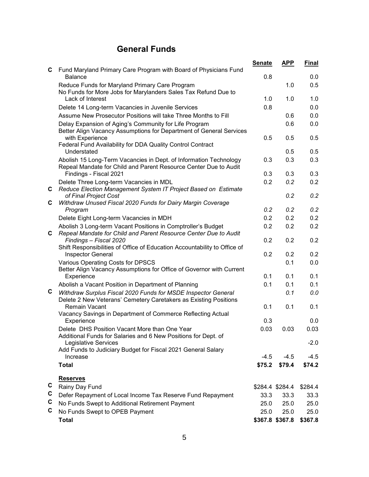# **General Funds**

|    |                                                                                                                                                 | <b>Senate</b> | <b>APP</b>              | <b>Final</b>    |
|----|-------------------------------------------------------------------------------------------------------------------------------------------------|---------------|-------------------------|-----------------|
| C  | Fund Maryland Primary Care Program with Board of Physicians Fund                                                                                |               |                         |                 |
|    | <b>Balance</b>                                                                                                                                  | 0.8           |                         | 0.0             |
|    | Reduce Funds for Maryland Primary Care Program<br>No Funds for More Jobs for Marylanders Sales Tax Refund Due to                                |               | 1.0                     | 0.5             |
|    | Lack of Interest                                                                                                                                | 1.0           | 1.0                     | 1.0             |
|    | Delete 14 Long-term Vacancies in Juvenile Services                                                                                              | 0.8           |                         | 0.0             |
|    | Assume New Prosecutor Positions will take Three Months to Fill                                                                                  |               | 0.6                     | 0.0             |
|    | Delay Expansion of Aging's Community for Life Program<br>Better Align Vacancy Assumptions for Department of General Services<br>with Experience | 0.5           | 0.6<br>0.5              | 0.0<br>0.5      |
|    | Federal Fund Availability for DDA Quality Control Contract<br>Understated                                                                       |               | 0.5                     | 0.5             |
|    | Abolish 15 Long-Term Vacancies in Dept. of Information Technology                                                                               | 0.3           | 0.3                     | 0.3             |
|    | Repeal Mandate for Child and Parent Resource Center Due to Audit<br>Findings - Fiscal 2021                                                      | 0.3           | 0.3                     | 0.3             |
|    | Delete Three Long-term Vacancies in MDL                                                                                                         | 0.2           | 0.2                     | 0.2             |
| C  | Reduce Election Management System IT Project Based on Estimate<br>of Final Project Cost                                                         |               | 0.2                     | 0.2             |
| С  | Withdraw Unused Fiscal 2020 Funds for Dairy Margin Coverage                                                                                     |               |                         |                 |
|    | Program                                                                                                                                         | 0.2           | 0.2                     | 0.2             |
|    | Delete Eight Long-term Vacancies in MDH                                                                                                         | 0.2           | 0.2                     | 0.2             |
| C. | Abolish 3 Long-term Vacant Positions in Comptroller's Budget<br>Repeal Mandate for Child and Parent Resource Center Due to Audit                | 0.2           | 0.2                     | 0.2             |
|    | Findings - Fiscal 2020<br>Shift Responsibilities of Office of Education Accountability to Office of<br><b>Inspector General</b>                 | 0.2<br>0.2    | 0.2<br>0.2              | 0.2<br>0.2      |
|    | Various Operating Costs for DPSCS                                                                                                               |               | 0.1                     | 0.0             |
|    | Better Align Vacancy Assumptions for Office of Governor with Current<br>Experience                                                              | 0.1           | 0.1                     | 0.1             |
|    | Abolish a Vacant Position in Department of Planning                                                                                             | 0.1           | 0.1                     | 0.1             |
| C  | Withdraw Surplus Fiscal 2020 Funds for MSDE Inspector General<br>Delete 2 New Veterans' Cemetery Caretakers as Existing Positions               |               | 0.1                     | 0.0             |
|    | <b>Remain Vacant</b><br>Vacancy Savings in Department of Commerce Reflecting Actual                                                             | 0.1           | 0.1                     | 0.1             |
|    | Experience                                                                                                                                      | 0.3           |                         | 0.0             |
|    | Delete DHS Position Vacant More than One Year<br>Additional Funds for Salaries and 6 New Positions for Dept. of                                 | 0.03          | 0.03                    | 0.03            |
|    | Legislative Services<br>Add Funds to Judiciary Budget for Fiscal 2021 General Salary                                                            |               |                         | $-2.0$          |
|    | Increase                                                                                                                                        | -4.5          | $-4.5$                  | $-4.5$          |
|    | <b>Total</b>                                                                                                                                    | \$75.2        | \$79.4                  | \$74.2          |
|    | <b>Reserves</b>                                                                                                                                 |               |                         |                 |
| C  | Rainy Day Fund                                                                                                                                  |               | \$284.4 \$284.4         | \$284.4         |
| C  | Defer Repayment of Local Income Tax Reserve Fund Repayment                                                                                      | 33.3          | 33.3                    | 33.3            |
| C  | No Funds Swept to Additional Retirement Payment                                                                                                 | 25.0          | 25.0                    | 25.0            |
| C  | No Funds Swept to OPEB Payment<br><b>Total</b>                                                                                                  | 25.0          | 25.0<br>\$367.8 \$367.8 | 25.0<br>\$367.8 |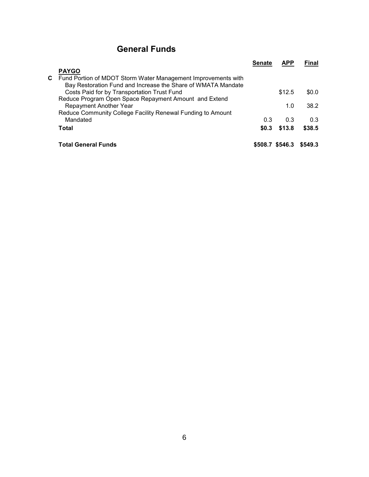# **General Funds**

|     |                                                               | <b>Senate</b> | <b>APP</b> | <b>Final</b> |
|-----|---------------------------------------------------------------|---------------|------------|--------------|
|     | <b>PAYGO</b>                                                  |               |            |              |
| C . | Fund Portion of MDOT Storm Water Management Improvements with |               |            |              |
|     | Bay Restoration Fund and Increase the Share of WMATA Mandate  |               |            |              |
|     | Costs Paid for by Transportation Trust Fund                   |               | \$12.5     | \$0.0        |
|     | Reduce Program Open Space Repayment Amount and Extend         |               |            |              |
|     | Repayment Another Year                                        |               | 1.0        | 38.2         |
|     | Reduce Community College Facility Renewal Funding to Amount   |               |            |              |
|     | Mandated                                                      | 0.3           | 0.3        | 0.3          |
|     | Total                                                         | \$0.3         | \$13.8     | \$38.5       |
|     | Total General Funds                                           | \$508.7       | \$546.3    | \$549.3      |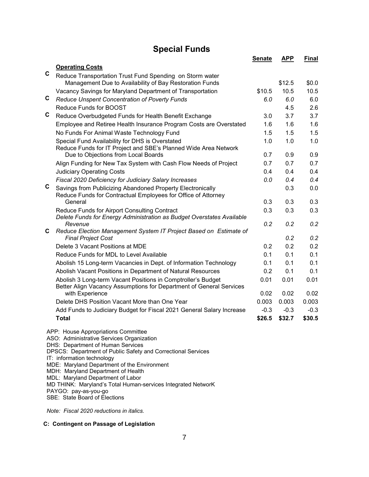# **Special Funds**

|             |                                                                                                                             | <b>Senate</b> | <b>APP</b> | <b>Final</b> |
|-------------|-----------------------------------------------------------------------------------------------------------------------------|---------------|------------|--------------|
|             | <b>Operating Costs</b>                                                                                                      |               |            |              |
| $\mathbf c$ | Reduce Transportation Trust Fund Spending on Storm water<br>Management Due to Availability of Bay Restoration Funds         |               | \$12.5     | \$0.0        |
|             | Vacancy Savings for Maryland Department of Transportation                                                                   | \$10.5        | 10.5       | 10.5         |
| C           | Reduce Unspent Concentration of Poverty Funds                                                                               | 6.0           | 6.0        | 6.0          |
|             | Reduce Funds for BOOST                                                                                                      |               | 4.5        | 2.6          |
| C           | Reduce Overbudgeted Funds for Health Benefit Exchange                                                                       | 3.0           | 3.7        | 3.7          |
|             | Employee and Retiree Health Insurance Program Costs are Overstated                                                          | 1.6           | 1.6        | 1.6          |
|             | No Funds For Animal Waste Technology Fund                                                                                   | 1.5           | 1.5        | 1.5          |
|             | Special Fund Availability for DHS is Overstated                                                                             | 1.0           | 1.0        | 1.0          |
|             | Reduce Funds for IT Project and SBE's Planned Wide Area Network                                                             |               |            |              |
|             | Due to Objections from Local Boards                                                                                         | 0.7           | 0.9        | 0.9          |
|             | Align Funding for New Tax System with Cash Flow Needs of Project                                                            | 0.7           | 0.7        | 0.7          |
|             | <b>Judiciary Operating Costs</b>                                                                                            | 0.4           | 0.4        | 0.4          |
| C           | Fiscal 2020 Deficiency for Judiciary Salary Increases                                                                       | 0.0           | 0.4        | 0.4          |
|             | Savings from Publicizing Abandoned Property Electronically<br>Reduce Funds for Contractual Employees for Office of Attorney |               | 0.3        | 0.0          |
|             | General                                                                                                                     | 0.3           | 0.3        | 0.3          |
|             | Reduce Funds for Airport Consulting Contract                                                                                | 0.3           | 0.3        | 0.3          |
|             | Delete Funds for Energy Administration as Budget Overstates Available                                                       |               |            |              |
| C           | Revenue                                                                                                                     | 0.2           | 0.2        | 0.2          |
|             | Reduce Election Management System IT Project Based on Estimate of<br><b>Final Project Cost</b>                              |               | 0.2        | 0.2          |
|             | Delete 3 Vacant Positions at MDE                                                                                            | 0.2           | 0.2        | 0.2          |
|             | Reduce Funds for MDL to Level Available                                                                                     | 0.1           | 0.1        | 0.1          |
|             | Abolish 15 Long-term Vacancies in Dept. of Information Technology                                                           | 0.1           | 0.1        | 0.1          |
|             | Abolish Vacant Positions in Department of Natural Resources                                                                 | 0.2           | 0.1        | 0.1          |
|             | Abolish 3 Long-term Vacant Positions in Comptroller's Budget                                                                | 0.01          | 0.01       | 0.01         |
|             | Better Align Vacancy Assumptions for Department of General Services<br>with Experience                                      | 0.02          | 0.02       | 0.02         |
|             | Delete DHS Position Vacant More than One Year                                                                               | 0.003         | 0.003      | 0.003        |
|             | Add Funds to Judiciary Budget for Fiscal 2021 General Salary Increase                                                       | $-0.3$        | $-0.3$     | $-0.3$       |
|             | <b>Total</b>                                                                                                                | \$26.5        | \$32.7     | \$30.5       |
|             |                                                                                                                             |               |            |              |

APP: House Appropriations Committee ASO: Administrative Services Organization DHS: Department of Human Services DPSCS: Department of Public Safety and Correctional Services IT: information technology MDE: Maryland Department of the Environment MDH: Maryland Department of Health MDL: Maryland Department of Labor MD THINK: Maryland's Total Human-services Integrated NetworK PAYGO: pay-as-you-go SBE: State Board of Elections

*Note: Fiscal 2020 reductions in italics.* 

#### **C: Contingent on Passage of Legislation**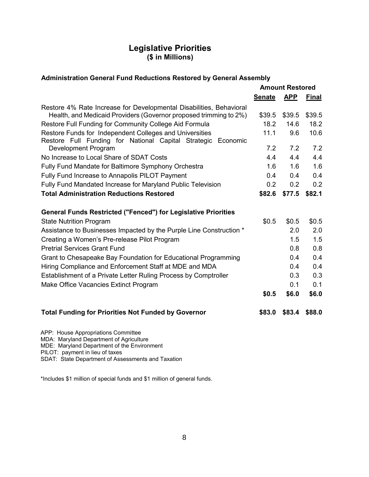## **Legislative Priorities (\$ in Millions)**

| animistrativni Oeneral I unu Reuuctivns Restoreu by Oeneral Assembly                                                                     |                        |            |              |
|------------------------------------------------------------------------------------------------------------------------------------------|------------------------|------------|--------------|
|                                                                                                                                          | <b>Amount Restored</b> |            |              |
|                                                                                                                                          | Senate                 | <b>APP</b> | <b>Final</b> |
| Restore 4% Rate Increase for Developmental Disabilities, Behavioral<br>Health, and Medicaid Providers (Governor proposed trimming to 2%) | \$39.5                 | \$39.5     | \$39.5       |
| Restore Full Funding for Community College Aid Formula                                                                                   | 18.2                   | 14.6       | 18.2         |
| Restore Funds for Independent Colleges and Universities                                                                                  | 11.1                   | 9.6        | 10.6         |
| Restore Full Funding for National Capital Strategic<br>Economic<br><b>Development Program</b>                                            | 7.2                    | 7.2        | 7.2          |
| No Increase to Local Share of SDAT Costs                                                                                                 | 4.4                    | 4.4        | 4.4          |
| Fully Fund Mandate for Baltimore Symphony Orchestra                                                                                      | 1.6                    | 1.6        | 1.6          |
| Fully Fund Increase to Annapolis PILOT Payment                                                                                           | 0.4                    | 0.4        | 0.4          |
| Fully Fund Mandated Increase for Maryland Public Television                                                                              | 0.2                    | 0.2        | 0.2          |
| <b>Total Administration Reductions Restored</b>                                                                                          | \$82.6                 | \$77.5     | \$82.1       |
|                                                                                                                                          |                        |            |              |
| <b>General Funds Restricted ("Fenced") for Legislative Priorities</b>                                                                    |                        |            |              |
| <b>State Nutrition Program</b>                                                                                                           | \$0.5                  | \$0.5      | \$0.5        |
| Assistance to Businesses Impacted by the Purple Line Construction *                                                                      |                        | 2.0        | 2.0          |
| Creating a Women's Pre-release Pilot Program                                                                                             |                        | 1.5        | 1.5          |
| <b>Pretrial Services Grant Fund</b>                                                                                                      |                        | 0.8        | 0.8          |
| Grant to Chesapeake Bay Foundation for Educational Programming                                                                           |                        | 0.4        | 0.4          |
| Hiring Compliance and Enforcement Staff at MDE and MDA                                                                                   |                        | 0.4        | 0.4          |
| Establishment of a Private Letter Ruling Process by Comptroller                                                                          |                        | 0.3        | 0.3          |
| Make Office Vacancies Extinct Program                                                                                                    |                        | 0.1        | 0.1          |
|                                                                                                                                          | \$0.5                  | \$6.0      | \$6.0        |
| <b>Total Funding for Priorities Not Funded by Governor</b>                                                                               | \$83.0                 | \$83.4     | \$88.0       |
| APP: House Appropriations Committee<br>MDA: Maryland Department of Agriculture                                                           |                        |            |              |

### **Administration General Fund Reductions Restored by General Assembly**

PILOT: payment in lieu of taxes SDAT: State Department of Assessments and Taxation

MDE: Maryland Department of the Environment

\*Includes \$1 million of special funds and \$1 million of general funds.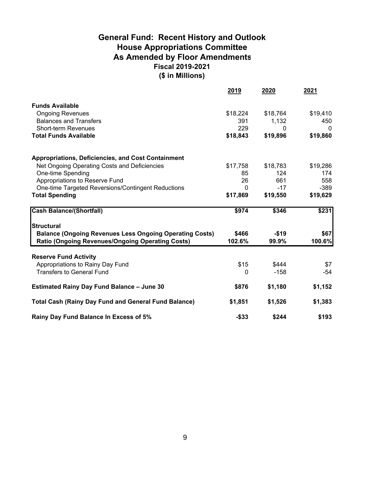## **General Fund: Recent History and Outlook Fiscal 2019-2021 (\$ in Millions) House Appropriations Committee As Amended by Floor Amendments**

|                                                                                                                           | 2019            | 2020              | 2021           |
|---------------------------------------------------------------------------------------------------------------------------|-----------------|-------------------|----------------|
| <b>Funds Available</b>                                                                                                    |                 |                   |                |
| <b>Ongoing Revenues</b>                                                                                                   | \$18,224        | \$18,764          | \$19,410       |
| <b>Balances and Transfers</b>                                                                                             | 391             | 1,132             | 450            |
| <b>Short-term Revenues</b>                                                                                                | 229             | 0                 | $\Omega$       |
| <b>Total Funds Available</b>                                                                                              | \$18,843        | \$19,896          | \$19,860       |
| <b>Appropriations, Deficiencies, and Cost Containment</b>                                                                 |                 |                   |                |
| Net Ongoing Operating Costs and Deficiencies                                                                              | \$17,758        | \$18,783          | \$19,286       |
| One-time Spending                                                                                                         | 85              | 124               | 174            |
| Appropriations to Reserve Fund                                                                                            | 26              | 661               | 558            |
| One-time Targeted Reversions/Contingent Reductions                                                                        | $\Omega$        | $-17$             | $-389$         |
| <b>Total Spending</b>                                                                                                     | \$17,869        | \$19,550          | \$19,629       |
| <b>Cash Balance/(Shortfall)</b>                                                                                           | \$974           | \$346             | \$231          |
| Structural                                                                                                                |                 |                   |                |
| <b>Balance (Ongoing Revenues Less Ongoing Operating Costs)</b><br><b>Ratio (Ongoing Revenues/Ongoing Operating Costs)</b> | \$466<br>102.6% | $-$ \$19<br>99.9% | \$67<br>100.6% |
|                                                                                                                           |                 |                   |                |
| <b>Reserve Fund Activity</b>                                                                                              |                 |                   |                |
| Appropriations to Rainy Day Fund                                                                                          | \$15            | \$444             | \$7            |
| <b>Transfers to General Fund</b>                                                                                          | 0               | $-158$            | -54            |
| <b>Estimated Rainy Day Fund Balance - June 30</b>                                                                         | \$876           | \$1,180           | \$1,152        |
|                                                                                                                           |                 |                   |                |
| <b>Total Cash (Rainy Day Fund and General Fund Balance)</b>                                                               | \$1,851         | \$1,526           | \$1,383        |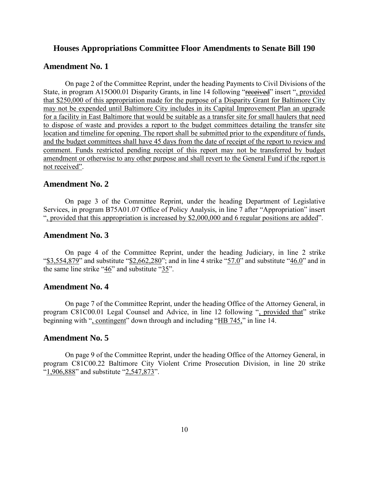#### **Amendment No. 1**

On page 2 of the Committee Reprint, under the heading Payments to Civil Divisions of the State, in program A15O00.01 Disparity Grants, in line 14 following "received" insert ", provided that \$250,000 of this appropriation made for the purpose of a Disparity Grant for Baltimore City may not be expended until Baltimore City includes in its Capital Improvement Plan an upgrade for a facility in East Baltimore that would be suitable as a transfer site for small haulers that need to dispose of waste and provides a report to the budget committees detailing the transfer site location and timeline for opening. The report shall be submitted prior to the expenditure of funds, and the budget committees shall have 45 days from the date of receipt of the report to review and comment. Funds restricted pending receipt of this report may not be transferred by budget amendment or otherwise to any other purpose and shall revert to the General Fund if the report is not received".

#### **Amendment No. 2**

On page 3 of the Committee Reprint, under the heading Department of Legislative Services, in program B75A01.07 Office of Policy Analysis, in line 7 after "Appropriation" insert ", provided that this appropriation is increased by \$2,000,000 and 6 regular positions are added".

#### **Amendment No. 3**

On page 4 of the Committee Reprint, under the heading Judiciary, in line 2 strike "\$3,554,879" and substitute "\$2,662,280"; and in line 4 strike "57.0" and substitute "46.0" and in the same line strike " $46$ " and substitute " $35$ ".

#### **Amendment No. 4**

On page 7 of the Committee Reprint, under the heading Office of the Attorney General, in program C81C00.01 Legal Counsel and Advice, in line 12 following ", provided that" strike beginning with ", contingent" down through and including "HB 745," in line 14.

#### **Amendment No. 5**

On page 9 of the Committee Reprint, under the heading Office of the Attorney General, in program C81C00.22 Baltimore City Violent Crime Prosecution Division, in line 20 strike "1,906,888" and substitute "2,547,873".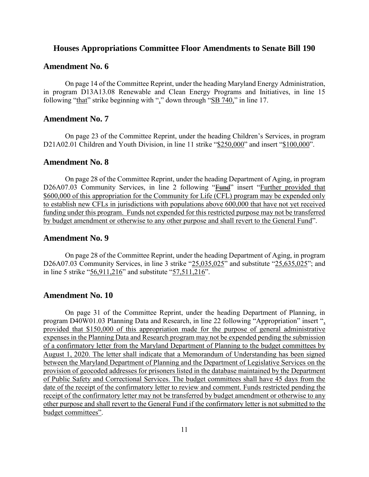#### **Amendment No. 6**

On page 14 of the Committee Reprint, under the heading Maryland Energy Administration, in program D13A13.08 Renewable and Clean Energy Programs and Initiatives, in line 15 following "that" strike beginning with "," down through "SB 740," in line 17.

#### **Amendment No. 7**

On page 23 of the Committee Reprint, under the heading Children's Services, in program D21A02.01 Children and Youth Division, in line 11 strike "\$250,000" and insert "\$100,000".

#### **Amendment No. 8**

On page 28 of the Committee Reprint, under the heading Department of Aging, in program D26A07.03 Community Services, in line 2 following "Fund" insert "Further provided that \$600,000 of this appropriation for the Community for Life (CFL) program may be expended only to establish new CFLs in jurisdictions with populations above 600,000 that have not yet received funding under this program. Funds not expended for this restricted purpose may not be transferred by budget amendment or otherwise to any other purpose and shall revert to the General Fund".

#### **Amendment No. 9**

On page 28 of the Committee Reprint, under the heading Department of Aging, in program D26A07.03 Community Services, in line 3 strike "25,035,025" and substitute "25,635,025"; and in line 5 strike "56,911,216" and substitute "57,511,216".

#### **Amendment No. 10**

On page 31 of the Committee Reprint, under the heading Department of Planning, in program D40W01.03 Planning Data and Research, in line 22 following "Appropriation" insert ", provided that \$150,000 of this appropriation made for the purpose of general administrative expenses in the Planning Data and Research program may not be expended pending the submission of a confirmatory letter from the Maryland Department of Planning to the budget committees by August 1, 2020. The letter shall indicate that a Memorandum of Understanding has been signed between the Maryland Department of Planning and the Department of Legislative Services on the provision of geocoded addresses for prisoners listed in the database maintained by the Department of Public Safety and Correctional Services. The budget committees shall have 45 days from the date of the receipt of the confirmatory letter to review and comment. Funds restricted pending the receipt of the confirmatory letter may not be transferred by budget amendment or otherwise to any other purpose and shall revert to the General Fund if the confirmatory letter is not submitted to the budget committees".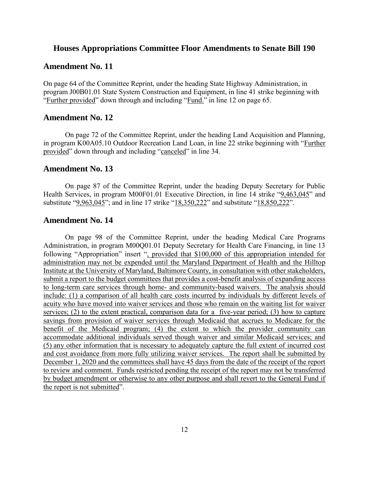#### **Amendment No. 11**

On page 64 of the Committee Reprint, under the heading State Highway Administration, in program J00B01.01 State System Construction and Equipment, in line 41 strike beginning with "Further provided" down through and including "Fund." in line 12 on page 65.

#### **Amendment No. 12**

On page 72 of the Committee Reprint, under the heading Land Acquisition and Planning, in program K00A05.10 Outdoor Recreation Land Loan, in line 22 strike beginning with "Further provided" down through and including "canceled" in line 34.

#### **Amendment No. 13**

On page 87 of the Committee Reprint, under the heading Deputy Secretary for Public Health Services, in program M00F01.01 Executive Direction, in line 14 strike "9,463,045" and substitute "9,963,045"; and in line 17 strike "18,350,222" and substitute "18,850,222".

#### **Amendment No. 14**

On page 98 of the Committee Reprint, under the heading Medical Care Programs Administration, in program M00Q01.01 Deputy Secretary for Health Care Financing, in line 13 following "Appropriation" insert ", provided that \$100,000 of this appropriation intended for administration may not be expended until the Maryland Department of Health and the Hilltop Institute at the University of Maryland, Baltimore County, in consultation with other stakeholders, submit a report to the budget committees that provides a cost-benefit analysis of expanding access to long-term care services through home- and community-based waivers. The analysis should include: (1) a comparison of all health care costs incurred by individuals by different levels of acuity who have moved into waiver services and those who remain on the waiting list for waiver services; (2) to the extent practical, comparison data for a five-year period; (3) how to capture savings from provision of waiver services through Medicaid that accrues to Medicare for the benefit of the Medicaid program; (4) the extent to which the provider community can accommodate additional individuals served though waiver and similar Medicaid services; and (5) any other information that is necessary to adequately capture the full extent of incurred cost and cost avoidance from more fully utilizing waiver services. The report shall be submitted by December 1, 2020 and the committees shall have 45 days from the date of the receipt of the report to review and comment. Funds restricted pending the receipt of the report may not be transferred by budget amendment or otherwise to any other purpose and shall revert to the General Fund if the report is not submitted".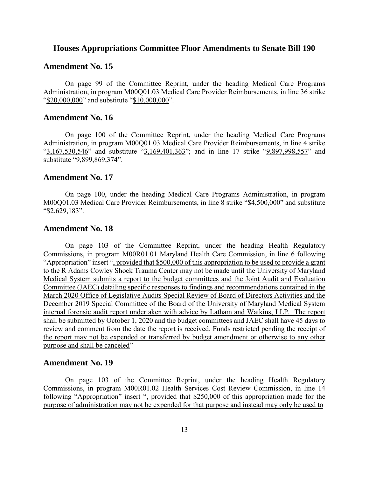#### **Amendment No. 15**

On page 99 of the Committee Reprint, under the heading Medical Care Programs Administration, in program M00Q01.03 Medical Care Provider Reimbursements, in line 36 strike "\$20,000,000" and substitute "\$10,000,000".

#### **Amendment No. 16**

On page 100 of the Committee Reprint, under the heading Medical Care Programs Administration, in program M00Q01.03 Medical Care Provider Reimbursements, in line 4 strike "3,167,530,546" and substitute "3,169,401,363"; and in line 17 strike "9,897,998,557" and substitute "9,899,869,374".

#### **Amendment No. 17**

On page 100, under the heading Medical Care Programs Administration, in program M00Q01.03 Medical Care Provider Reimbursements, in line 8 strike "\$4,500,000" and substitute "\$2,629,183".

#### **Amendment No. 18**

On page 103 of the Committee Reprint, under the heading Health Regulatory Commissions, in program M00R01.01 Maryland Health Care Commission, in line 6 following "Appropriation" insert ", provided that \$500,000 of this appropriation to be used to provide a grant to the R Adams Cowley Shock Trauma Center may not be made until the University of Maryland Medical System submits a report to the budget committees and the Joint Audit and Evaluation Committee (JAEC) detailing specific responses to findings and recommendations contained in the March 2020 Office of Legislative Audits Special Review of Board of Directors Activities and the December 2019 Special Committee of the Board of the University of Maryland Medical System internal forensic audit report undertaken with advice by Latham and Watkins, LLP. The report shall be submitted by October 1, 2020 and the budget committees and JAEC shall have 45 days to review and comment from the date the report is received. Funds restricted pending the receipt of the report may not be expended or transferred by budget amendment or otherwise to any other purpose and shall be canceled"

#### **Amendment No. 19**

On page 103 of the Committee Reprint, under the heading Health Regulatory Commissions, in program M00R01.02 Health Services Cost Review Commission, in line 14 following "Appropriation" insert ", provided that \$250,000 of this appropriation made for the purpose of administration may not be expended for that purpose and instead may only be used to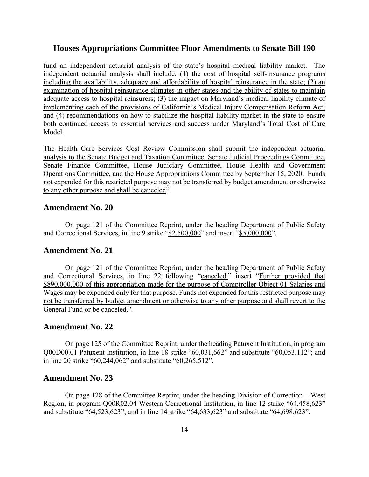fund an independent actuarial analysis of the state's hospital medical liability market. The independent actuarial analysis shall include: (1) the cost of hospital self-insurance programs including the availability, adequacy and affordability of hospital reinsurance in the state; (2) an examination of hospital reinsurance climates in other states and the ability of states to maintain adequate access to hospital reinsurers; (3) the impact on Maryland's medical liability climate of implementing each of the provisions of California's Medical Injury Compensation Reform Act; and (4) recommendations on how to stabilize the hospital liability market in the state to ensure both continued access to essential services and success under Maryland's Total Cost of Care Model.

The Health Care Services Cost Review Commission shall submit the independent actuarial analysis to the Senate Budget and Taxation Committee, Senate Judicial Proceedings Committee, Senate Finance Committee, House Judiciary Committee, House Health and Government Operations Committee, and the House Appropriations Committee by September 15, 2020. Funds not expended for this restricted purpose may not be transferred by budget amendment or otherwise to any other purpose and shall be canceled".

#### **Amendment No. 20**

On page 121 of the Committee Reprint, under the heading Department of Public Safety and Correctional Services, in line 9 strike "\$2,500,000" and insert "\$5,000,000".

#### **Amendment No. 21**

On page 121 of the Committee Reprint, under the heading Department of Public Safety and Correctional Services, in line 22 following "eanceled." insert "Further provided that \$890,000,000 of this appropriation made for the purpose of Comptroller Object 01 Salaries and Wages may be expended only for that purpose. Funds not expended for this restricted purpose may not be transferred by budget amendment or otherwise to any other purpose and shall revert to the General Fund or be canceled.".

#### **Amendment No. 22**

On page 125 of the Committee Reprint, under the heading Patuxent Institution, in program Q00D00.01 Patuxent Institution, in line 18 strike "60,031,662" and substitute "60,053,112"; and in line 20 strike "60,244,062" and substitute "60,265,512".

#### **Amendment No. 23**

On page 128 of the Committee Reprint, under the heading Division of Correction – West Region, in program Q00R02.04 Western Correctional Institution, in line 12 strike "64,458,623" and substitute "64,523,623"; and in line 14 strike "64,633,623" and substitute "64,698,623".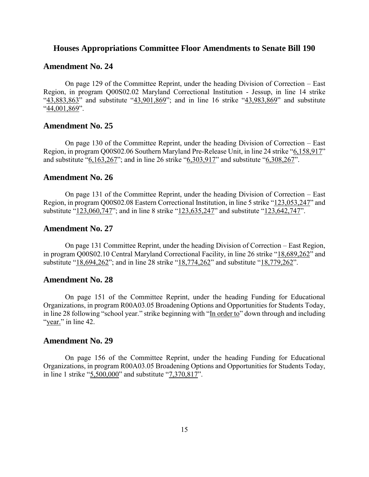#### **Amendment No. 24**

On page 129 of the Committee Reprint, under the heading Division of Correction – East Region, in program Q00S02.02 Maryland Correctional Institution - Jessup, in line 14 strike " $43,883,863$ " and substitute " $43,901,869$ "; and in line 16 strike " $43,983,869$ " and substitute "44,001,869".

#### **Amendment No. 25**

On page 130 of the Committee Reprint, under the heading Division of Correction – East Region, in program Q00S02.06 Southern Maryland Pre-Release Unit, in line 24 strike "6,158,917" and substitute "6,163,267"; and in line 26 strike "6,303,917" and substitute "6,308,267".

#### **Amendment No. 26**

On page 131 of the Committee Reprint, under the heading Division of Correction – East Region, in program Q00S02.08 Eastern Correctional Institution, in line 5 strike "123,053,247" and substitute "123,060,747"; and in line 8 strike "123,635,247" and substitute "123,642,747".

#### **Amendment No. 27**

On page 131 Committee Reprint, under the heading Division of Correction – East Region, in program Q00S02.10 Central Maryland Correctional Facility, in line 26 strike "18,689,262" and substitute "18,694,262"; and in line 28 strike "18,774,262" and substitute "18,779,262".

#### **Amendment No. 28**

On page 151 of the Committee Reprint, under the heading Funding for Educational Organizations, in program R00A03.05 Broadening Options and Opportunities for Students Today, in line 28 following "school year." strike beginning with "In order to" down through and including "year." in line 42.

#### **Amendment No. 29**

On page 156 of the Committee Reprint, under the heading Funding for Educational Organizations, in program R00A03.05 Broadening Options and Opportunities for Students Today, in line 1 strike "5,500,000" and substitute "7,370,817".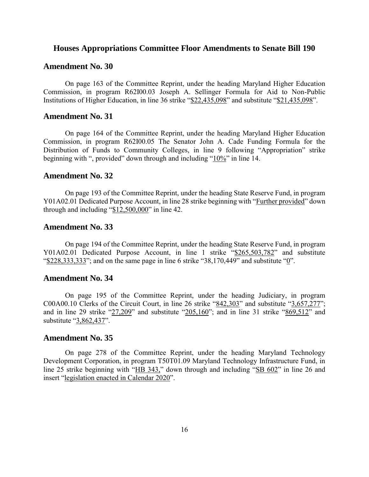#### **Amendment No. 30**

On page 163 of the Committee Reprint, under the heading Maryland Higher Education Commission, in program R62I00.03 Joseph A. Sellinger Formula for Aid to Non-Public Institutions of Higher Education, in line 36 strike "\$22,435,098" and substitute "\$21,435,098".

#### **Amendment No. 31**

On page 164 of the Committee Reprint, under the heading Maryland Higher Education Commission, in program R62I00.05 The Senator John A. Cade Funding Formula for the Distribution of Funds to Community Colleges, in line 9 following "Appropriation" strike beginning with ", provided" down through and including "10%" in line 14.

#### **Amendment No. 32**

On page 193 of the Committee Reprint, under the heading State Reserve Fund, in program Y01A02.01 Dedicated Purpose Account, in line 28 strike beginning with "Further provided" down through and including "\$12,500,000" in line 42.

#### **Amendment No. 33**

On page 194 of the Committee Reprint, under the heading State Reserve Fund, in program Y01A02.01 Dedicated Purpose Account, in line 1 strike "\$265,503,782" and substitute " $228,333,333$ "; and on the same page in line 6 strike "38,170,449" and substitute "0".

#### **Amendment No. 34**

On page 195 of the Committee Reprint, under the heading Judiciary, in program C00A00.10 Clerks of the Circuit Court, in line 26 strike "842,303" and substitute "3,657,277"; and in line 29 strike " $27,209$ " and substitute " $205,160$ "; and in line 31 strike " $869,512$ " and substitute "3,862,437".

#### **Amendment No. 35**

On page 278 of the Committee Reprint, under the heading Maryland Technology Development Corporation, in program T50T01.09 Maryland Technology Infrastructure Fund, in line 25 strike beginning with "HB 343," down through and including "SB 602" in line 26 and insert "legislation enacted in Calendar 2020".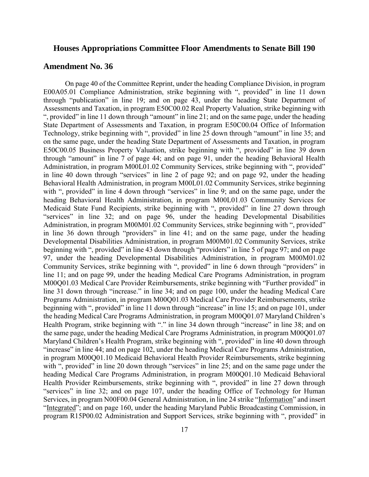#### **Amendment No. 36**

On page 40 of the Committee Reprint, under the heading Compliance Division, in program E00A05.01 Compliance Administration, strike beginning with ", provided" in line 11 down through "publication" in line 19; and on page 43, under the heading State Department of Assessments and Taxation, in program E50C00.02 Real Property Valuation, strike beginning with ", provided" in line 11 down through "amount" in line 21; and on the same page, under the heading State Department of Assessments and Taxation, in program E50C00.04 Office of Information Technology, strike beginning with ", provided" in line 25 down through "amount" in line 35; and on the same page, under the heading State Department of Assessments and Taxation, in program E50C00.05 Business Property Valuation, strike beginning with ", provided" in line 39 down through "amount" in line 7 of page 44; and on page 91, under the heading Behavioral Health Administration, in program M00L01.02 Community Services, strike beginning with ", provided" in line 40 down through "services" in line 2 of page 92; and on page 92, under the heading Behavioral Health Administration, in program M00L01.02 Community Services, strike beginning with ", provided" in line 4 down through "services" in line 9; and on the same page, under the heading Behavioral Health Administration, in program M00L01.03 Community Services for Medicaid State Fund Recipients, strike beginning with ", provided" in line 27 down through "services" in line 32; and on page 96, under the heading Developmental Disabilities Administration, in program M00M01.02 Community Services, strike beginning with ", provided" in line 36 down through "providers" in line 41; and on the same page, under the heading Developmental Disabilities Administration, in program M00M01.02 Community Services, strike beginning with ", provided" in line 43 down through "providers" in line 5 of page 97; and on page 97, under the heading Developmental Disabilities Administration, in program M00M01.02 Community Services, strike beginning with ", provided" in line 6 down through "providers" in line 11; and on page 99, under the heading Medical Care Programs Administration, in program M00Q01.03 Medical Care Provider Reimbursements, strike beginning with "Further provided" in line 31 down through "increase." in line 34; and on page 100, under the heading Medical Care Programs Administration, in program M00Q01.03 Medical Care Provider Reimbursements, strike beginning with ", provided" in line 11 down through "increase" in line 15; and on page 101, under the heading Medical Care Programs Administration, in program M00Q01.07 Maryland Children's Health Program, strike beginning with "." in line 34 down through "increase" in line 38; and on the same page, under the heading Medical Care Programs Administration, in program M00Q01.07 Maryland Children's Health Program, strike beginning with ", provided" in line 40 down through "increase" in line 44; and on page 102, under the heading Medical Care Programs Administration, in program M00Q01.10 Medicaid Behavioral Health Provider Reimbursements, strike beginning with ", provided" in line 20 down through "services" in line 25; and on the same page under the heading Medical Care Programs Administration, in program M00Q01.10 Medicaid Behavioral Health Provider Reimbursements, strike beginning with ", provided" in line 27 down through "services" in line 32; and on page 107, under the heading Office of Technology for Human Services, in program N00F00.04 General Administration, in line 24 strike "Information" and insert "Integrated"; and on page 160, under the heading Maryland Public Broadcasting Commission, in program R15P00.02 Administration and Support Services, strike beginning with ", provided" in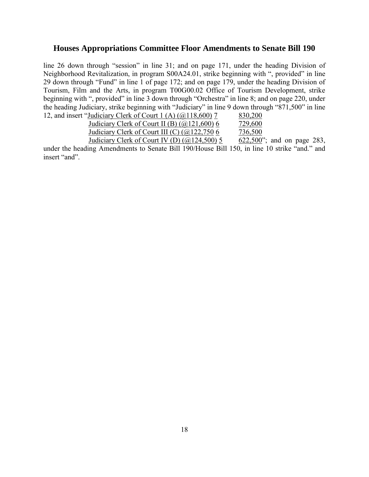line 26 down through "session" in line 31; and on page 171, under the heading Division of Neighborhood Revitalization, in program S00A24.01, strike beginning with ", provided" in line 29 down through "Fund" in line 1 of page 172; and on page 179, under the heading Division of Tourism, Film and the Arts, in program T00G00.02 Office of Tourism Development, strike beginning with ", provided" in line 3 down through "Orchestra" in line 8; and on page 220, under the heading Judiciary, strike beginning with "Judiciary" in line 9 down through "871,500" in line 12 and insert "Judiciary Clerk of Court 1 (A) (@118,600) 7 830,200 12, and insert "Judiciary Clerk of Court 1 (A)  $\left(\frac{a}{a}\right)$  18,600) 7

| $\frac{1}{100}$ and $\frac{1}{100}$ by $\frac{1}{100}$ by $\frac{1}{100}$ by $\frac{1}{100}$ by $\frac{1}{100}$ by $\frac{1}{100}$ | 0.00200   |
|------------------------------------------------------------------------------------------------------------------------------------|-----------|
| Judiciary Clerk of Court II (B) $(\omega$ 121,600) 6                                                                               | 729,600   |
| Judiciary Clerk of Court III (C) ( $\omega$ 122,750 6                                                                              | 736,500   |
| Indiciary Clerk of Court IV (D) $(0.124, 500)$ 5                                                                                   | .622.500° |

Judiciary Clerk of Court IV (D)  $(Q124,500)$  5 622,500"; and on page 283, under the heading Amendments to Senate Bill 190/House Bill 150, in line 10 strike "and." and insert "and".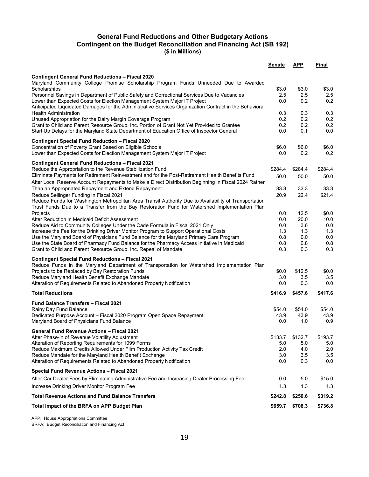#### **Contingent on the Budget Reconciliation and Financing Act (SB 192) General Fund Reductions and Other Budgetary Actions (\$ in Millions)**

|                                                                                                                                                 | <u>Senate</u> | <u>APP</u> | Final   |
|-------------------------------------------------------------------------------------------------------------------------------------------------|---------------|------------|---------|
|                                                                                                                                                 |               |            |         |
| <b>Contingent General Fund Reductions - Fiscal 2020</b><br>Maryland Community College Promise Scholarship Program Funds Unneeded Due to Awarded |               |            |         |
| Scholarships                                                                                                                                    | \$3.0         | \$3.0      | \$3.0   |
| Personnel Savings in Department of Public Safety and Correctional Services Due to Vacancies                                                     | 2.5           | 2.5        | 2.5     |
| Lower than Expected Costs for Election Management System Major IT Project                                                                       | 0.0           | 0.2        | 0.2     |
| Anticipated Liquidated Damages for the Administrative Services Organization Contract in the Behavioral                                          |               |            |         |
| Health Administration                                                                                                                           | 0.3           | 0.3        | 0.3     |
| Unused Appropriation for the Dairy Margin Coverage Program                                                                                      | 0.2           | 0.2        | 0.2     |
| Grant to Child and Parent Resource Group, Inc. Portion of Grant Not Yet Provided to Grantee                                                     | 0.2           | 0.2        | 0.2     |
| Start Up Delays for the Maryland State Department of Education Office of Inspector General                                                      | 0.0           | 0.1        | 0.0     |
| <b>Contingent Special Fund Reduction - Fiscal 2020</b>                                                                                          |               |            |         |
| Concentration of Poverty Grant Based on Eligible Schools                                                                                        | \$6.0         | \$6.0      | \$6.0   |
| Lower than Expected Costs for Election Management System Major IT Project                                                                       | 0.0           | 0.2        | 0.2     |
| <b>Contingent General Fund Reductions - Fiscal 2021</b>                                                                                         |               |            |         |
| Reduce the Appropriation to the Revenue Stabilization Fund                                                                                      | \$284.4       | \$284.4    | \$284.4 |
| Eliminate Payments for Retirement Reinvestment and for the Post-Retirement Health Benefits Fund                                                 | 50.0          | 50.0       | 50.0    |
| Alter Local Reserve Account Repayments to Make a Direct Distribution Beginning in Fiscal 2024 Rather                                            |               |            |         |
| Than an Appropriated Repayment and Extend Repayment                                                                                             | 33.3          | 33.3       | 33.3    |
| Reduce Sellinger Funding in Fiscal 2021                                                                                                         | 20.9          | 22.4       | \$21.4  |
| Reduce Funds for Washington Metropolitan Area Transit Authority Due to Availability of Transportation                                           |               |            |         |
| Trust Funds Due to a Transfer from the Bay Restoration Fund for Watershed Implementation Plan                                                   |               |            |         |
| Projects                                                                                                                                        | 0.0           | 12.5       | \$0.0   |
| Alter Reduction in Medicaid Deficit Assessment                                                                                                  | 10.0          | 20.0       | 10.0    |
| Reduce Aid to Community Colleges Under the Cade Formula in Fiscal 2021 Only                                                                     | 0.0           | 3.6        | 0.0     |
| Increase the Fee for the Drinking Driver Monitor Program to Support Operational Costs                                                           | 1.3           | 1.3        | 1.3     |
| Use the Maryland Board of Physicians Fund Balance for the Maryland Primary Care Program                                                         | 0.8           | 0.0        | 0.0     |
| Use the State Board of Pharmacy Fund Balance for the Pharmacy Access Initiative in Medicaid                                                     | 0.8           | 0.8        | 0.8     |
| Grant to Child and Parent Resource Group, Inc. Repeal of Mandate                                                                                | 0.3           | 0.3        | 0.3     |
| <b>Contingent Special Fund Reductions - Fiscal 2021</b>                                                                                         |               |            |         |
| Reduce Funds in the Maryland Department of Transportation for Watershed Implementation Plan                                                     |               |            |         |
| Projects to be Replaced by Bay Restoration Funds                                                                                                | \$0.0         | \$12.5     | \$0.0   |
| Reduce Maryland Health Benefit Exchange Mandate                                                                                                 | 3.0           | 3.5        | 3.5     |
| Alteration of Requirements Related to Abandoned Property Notification                                                                           | 0.0           | 0.3        | 0.0     |
| <b>Total Reductions</b>                                                                                                                         | \$416.9       | \$457.6    | \$417.6 |
| Fund Balance Transfers - Fiscal 2021                                                                                                            |               |            |         |
| Rainy Day Fund Balance                                                                                                                          | \$54.0        | \$54.0     | \$54.0  |
| Dedicated Purpose Account - Fiscal 2020 Program Open Space Repayment                                                                            | 43.9          | 43.9       | 43.9    |
| Maryland Board of Physicians Fund Balance                                                                                                       | 0.0           | 1.0        | 0.9     |
| General Fund Revenue Actions - Fiscal 2021                                                                                                      |               |            |         |
| Alter Phase-in of Revenue Volatility Adjustment                                                                                                 | \$133.7       | \$132.7    | \$193.7 |
| Alteration of Reporting Requirements for 1099 Forms                                                                                             | 5.0           | 5.0        | 5.0     |
| Reduce Maximum Credits Allowed Under Film Production Activity Tax Credit                                                                        | 2.0           | 4.0        | 2.0     |
| Reduce Mandate for the Maryland Health Benefit Exchange                                                                                         | 3.0           | 3.5        | 3.5     |
| Alteration of Requirements Related to Abandoned Property Notification                                                                           | 0.0           | 0.3        | 0.0     |
| Special Fund Revenue Actions - Fiscal 2021                                                                                                      |               |            |         |
| Alter Car Dealer Fees by Eliminating Administrative Fee and Increasing Dealer Processing Fee                                                    | 0.0           | 5.0        | \$15.0  |
| Increase Drinking Driver Monitor Program Fee                                                                                                    | 1.3           | 1.3        | 1.3     |
| <b>Total Revenue Actions and Fund Balance Transfers</b>                                                                                         | \$242.8       | \$250.6    | \$319.2 |
| Total Impact of the BRFA on APP Budget Plan                                                                                                     | \$659.7       | \$708.3    | \$736.8 |
|                                                                                                                                                 |               |            |         |

APP: House Appropriations Committee

BRFA: Budget Reconciliation and Financing Act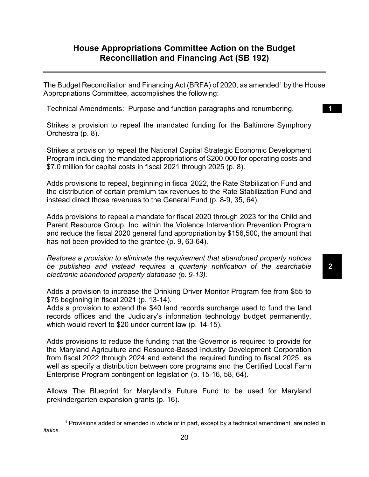## **House Appropriations Committee Action on the Budget Reconciliation and Financing Act (SB 192)**

The Budget Reconciliation and Financing Act (BRFA) of 2020, as amended<sup>[1](#page-21-0)</sup> by the House Appropriations Committee, accomplishes the following:

Technical Amendments: Purpose and function paragraphs and renumbering. **1**

Strikes a provision to repeal the mandated funding for the Baltimore Symphony Orchestra (p. 8).

Strikes a provision to repeal the National Capital Strategic Economic Development Program including the mandated appropriations of \$200,000 for operating costs and \$7.0 million for capital costs in fiscal 2021 through 2025 (p. 8).

Adds provisions to repeal, beginning in fiscal 2022, the Rate Stabilization Fund and the distribution of certain premium tax revenues to the Rate Stabilization Fund and instead direct those revenues to the General Fund (p. 8-9, 35, 64).

Adds provisions to repeal a mandate for fiscal 2020 through 2023 for the Child and Parent Resource Group, Inc. within the Violence Intervention Prevention Program and reduce the fiscal 2020 general fund appropriation by \$156,500, the amount that has not been provided to the grantee (p. 9, 63-64).

*Restores a provision to eliminate the requirement that abandoned property notices be published and instead requires a quarterly notification of the searchable electronic abandoned property database (p. 9-13).*

Adds a provision to increase the Drinking Driver Monitor Program fee from \$55 to \$75 beginning in fiscal 2021 (p. 13-14).

Adds a provision to extend the \$40 land records surcharge used to fund the land records offices and the Judiciary's information technology budget permanently, which would revert to \$20 under current law (p. 14-15).

Adds provisions to reduce the funding that the Governor is required to provide for the Maryland Agriculture and Resource-Based Industry Development Corporation from fiscal 2022 through 2024 and extend the required funding to fiscal 2025, as well as specify a distribution between core programs and the Certified Local Farm Enterprise Program contingent on legislation (p. 15-16, 58, 64).

Allows The Blueprint for Maryland's Future Fund to be used for Maryland prekindergarten expansion grants (p. 16).

<span id="page-21-0"></span><sup>1</sup> Provisions added or amended in whole or in part, except by a technical amendment, are noted in *italics.*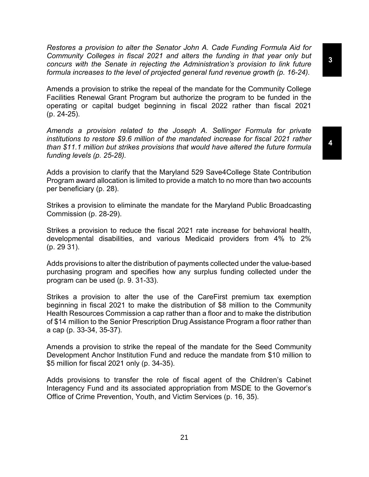*Restores a provision to alter the Senator John A. Cade Funding Formula Aid for Community Colleges in fiscal 2021 and alters the funding in that year only but concurs with the Senate in rejecting the Administration's provision to link future formula increases to the level of projected general fund revenue growth (p. 16-24).*

Amends a provision to strike the repeal of the mandate for the Community College Facilities Renewal Grant Program but authorize the program to be funded in the operating or capital budget beginning in fiscal 2022 rather than fiscal 2021 (p. 24-25).

*Amends a provision related to the Joseph A. Sellinger Formula for private institutions to restore \$9.6 million of the mandated increase for fiscal 2021 rather than \$11.1 million but strikes provisions that would have altered the future formula funding levels (p. 25-28).*

Adds a provision to clarify that the Maryland 529 Save4College State Contribution Program award allocation is limited to provide a match to no more than two accounts per beneficiary (p. 28).

Strikes a provision to eliminate the mandate for the Maryland Public Broadcasting Commission (p. 28-29).

Strikes a provision to reduce the fiscal 2021 rate increase for behavioral health, developmental disabilities, and various Medicaid providers from 4% to 2% (p. 29 31).

Adds provisions to alter the distribution of payments collected under the value-based purchasing program and specifies how any surplus funding collected under the program can be used (p. 9. 31-33).

Strikes a provision to alter the use of the CareFirst premium tax exemption beginning in fiscal 2021 to make the distribution of \$8 million to the Community Health Resources Commission a cap rather than a floor and to make the distribution of \$14 million to the Senior Prescription Drug Assistance Program a floor rather than a cap (p. 33-34, 35-37).

Amends a provision to strike the repeal of the mandate for the Seed Community Development Anchor Institution Fund and reduce the mandate from \$10 million to \$5 million for fiscal 2021 only (p. 34-35).

Adds provisions to transfer the role of fiscal agent of the Children's Cabinet Interagency Fund and its associated appropriation from MSDE to the Governor's Office of Crime Prevention, Youth, and Victim Services (p. 16, 35).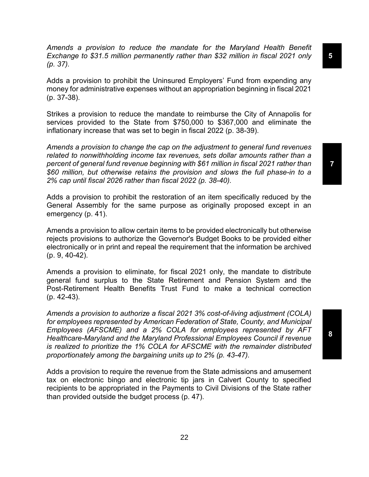*Amends a provision to reduce the mandate for the Maryland Health Benefit Exchange to \$31.5 million permanently rather than \$32 million in fiscal 2021 only (p. 37).*

Adds a provision to prohibit the Uninsured Employers' Fund from expending any money for administrative expenses without an appropriation beginning in fiscal 2021 (p. 37-38).

Strikes a provision to reduce the mandate to reimburse the City of Annapolis for services provided to the State from \$750,000 to \$367,000 and eliminate the inflationary increase that was set to begin in fiscal 2022 (p. 38-39).

*Amends a provision to change the cap on the adjustment to general fund revenues*  related to nonwithholding income tax revenues, sets dollar amounts rather than a *percent of general fund revenue beginning with \$61 million in fiscal 2021 rather than \$60 million, but otherwise retains the provision and slows the full phase-in to a 2% cap until fiscal 2026 rather than fiscal 2022 (p. 38-40).*

Adds a provision to prohibit the restoration of an item specifically reduced by the General Assembly for the same purpose as originally proposed except in an emergency (p. 41).

Amends a provision to allow certain items to be provided electronically but otherwise rejects provisions to authorize the Governor's Budget Books to be provided either electronically or in print and repeal the requirement that the information be archived (p. 9, 40-42).

Amends a provision to eliminate, for fiscal 2021 only, the mandate to distribute general fund surplus to the State Retirement and Pension System and the Post-Retirement Health Benefits Trust Fund to make a technical correction (p. 42-43).

*Amends a provision to authorize a fiscal 2021 3% cost-of-living adjustment (COLA) for employees represented by American Federation of State, County, and Municipal Employees (AFSCME) and a 2% COLA for employees represented by AFT Healthcare-Maryland and the Maryland Professional Employees Council if revenue is realized to prioritize the 1% COLA for AFSCME with the remainder distributed proportionately among the bargaining units up to 2% (p. 43-47).*

Adds a provision to require the revenue from the State admissions and amusement tax on electronic bingo and electronic tip jars in Calvert County to specified recipients to be appropriated in the Payments to Civil Divisions of the State rather than provided outside the budget process (p. 47).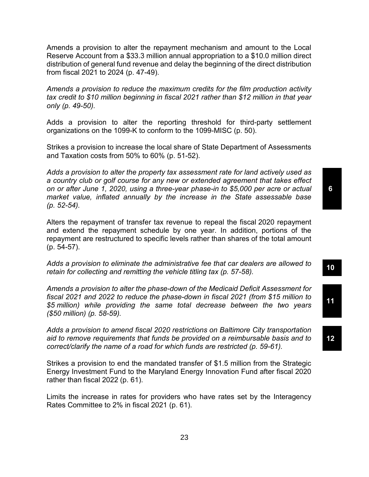Amends a provision to alter the repayment mechanism and amount to the Local Reserve Account from a \$33.3 million annual appropriation to a \$10.0 million direct distribution of general fund revenue and delay the beginning of the direct distribution from fiscal 2021 to 2024 (p. 47-49).

*Amends a provision to reduce the maximum credits for the film production activity tax credit to \$10 million beginning in fiscal 2021 rather than \$12 million in that year only (p. 49-50).*

Adds a provision to alter the reporting threshold for third-party settlement organizations on the 1099-K to conform to the 1099-MISC (p. 50).

Strikes a provision to increase the local share of State Department of Assessments and Taxation costs from 50% to 60% (p. 51-52).

*Adds a provision to alter the property tax assessment rate for land actively used as a country club or golf course for any new or extended agreement that takes effect on or after June 1, 2020, using a three-year phase-in to \$5,000 per acre or actual market value, inflated annually by the increase in the State assessable base (p. 52-54).*

Alters the repayment of transfer tax revenue to repeal the fiscal 2020 repayment and extend the repayment schedule by one year. In addition, portions of the repayment are restructured to specific levels rather than shares of the total amount (p. 54-57).

*Adds a provision to eliminate the administrative fee that car dealers are allowed to retain for collecting and remitting the vehicle titling tax (p. 57-58).* **<sup>10</sup>**

*Amends a provision to alter the phase-down of the Medicaid Deficit Assessment for fiscal 2021 and 2022 to reduce the phase-down in fiscal 2021 (from \$15 million to \$5 million) while providing the same total decrease between the two years (\$50 million) (p. 58-59).*

*Adds a provision to amend fiscal 2020 restrictions on Baltimore City transportation aid to remove requirements that funds be provided on a reimbursable basis and to correct/clarify the name of a road for which funds are restricted (p. 59-61).*

Strikes a provision to end the mandated transfer of \$1.5 million from the Strategic Energy Investment Fund to the Maryland Energy Innovation Fund after fiscal 2020 rather than fiscal 2022 (p. 61).

Limits the increase in rates for providers who have rates set by the Interagency Rates Committee to 2% in fiscal 2021 (p. 61).

**6**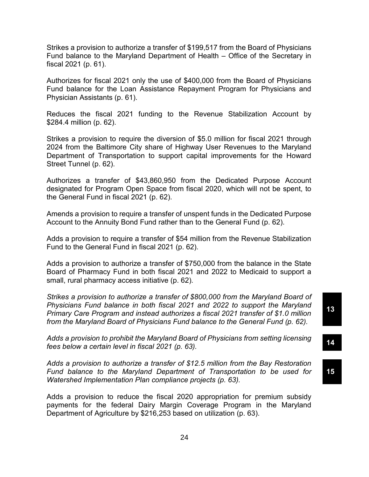Strikes a provision to authorize a transfer of \$199,517 from the Board of Physicians Fund balance to the Maryland Department of Health – Office of the Secretary in fiscal 2021 (p. 61).

Authorizes for fiscal 2021 only the use of \$400,000 from the Board of Physicians Fund balance for the Loan Assistance Repayment Program for Physicians and Physician Assistants (p. 61).

Reduces the fiscal 2021 funding to the Revenue Stabilization Account by \$284.4 million (p. 62).

Strikes a provision to require the diversion of \$5.0 million for fiscal 2021 through 2024 from the Baltimore City share of Highway User Revenues to the Maryland Department of Transportation to support capital improvements for the Howard Street Tunnel (p. 62).

Authorizes a transfer of \$43,860,950 from the Dedicated Purpose Account designated for Program Open Space from fiscal 2020, which will not be spent, to the General Fund in fiscal 2021 (p. 62).

Amends a provision to require a transfer of unspent funds in the Dedicated Purpose Account to the Annuity Bond Fund rather than to the General Fund (p. 62).

Adds a provision to require a transfer of \$54 million from the Revenue Stabilization Fund to the General Fund in fiscal 2021 (p. 62).

Adds a provision to authorize a transfer of \$750,000 from the balance in the State Board of Pharmacy Fund in both fiscal 2021 and 2022 to Medicaid to support a small, rural pharmacy access initiative (p. 62).

*Strikes a provision to authorize a transfer of \$800,000 from the Maryland Board of Physicians Fund balance in both fiscal 2021 and 2022 to support the Maryland Primary Care Program and instead authorizes a fiscal 2021 transfer of \$1.0 million from the Maryland Board of Physicians Fund balance to the General Fund (p. 62).*

*Adds a provision to prohibit the Maryland Board of Physicians from setting licensing fees below a certain level in fiscal 2021 (p. 63).* **<sup>14</sup>**

*Adds a provision to authorize a transfer of \$12.5 million from the Bay Restoration Fund balance to the Maryland Department of Transportation to be used for Watershed Implementation Plan compliance projects (p. 63).* 

Adds a provision to reduce the fiscal 2020 appropriation for premium subsidy payments for the federal Dairy Margin Coverage Program in the Maryland Department of Agriculture by \$216,253 based on utilization (p. 63).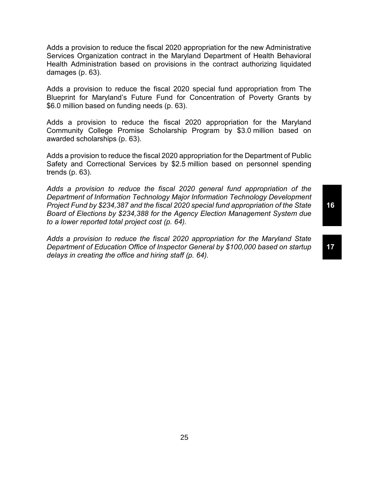Adds a provision to reduce the fiscal 2020 appropriation for the new Administrative Services Organization contract in the Maryland Department of Health Behavioral Health Administration based on provisions in the contract authorizing liquidated damages (p. 63).

Adds a provision to reduce the fiscal 2020 special fund appropriation from The Blueprint for Maryland's Future Fund for Concentration of Poverty Grants by \$6.0 million based on funding needs (p. 63).

Adds a provision to reduce the fiscal 2020 appropriation for the Maryland Community College Promise Scholarship Program by \$3.0 million based on awarded scholarships (p. 63).

Adds a provision to reduce the fiscal 2020 appropriation for the Department of Public Safety and Correctional Services by \$2.5 million based on personnel spending trends (p. 63).

*Adds a provision to reduce the fiscal 2020 general fund appropriation of the Department of Information Technology Major Information Technology Development Project Fund by \$234,387 and the fiscal 2020 special fund appropriation of the State Board of Elections by \$234,388 for the Agency Election Management System due to a lower reported total project cost (p. 64).* 

*Adds a provision to reduce the fiscal 2020 appropriation for the Maryland State Department of Education Office of Inspector General by \$100,000 based on startup delays in creating the office and hiring staff (p. 64).*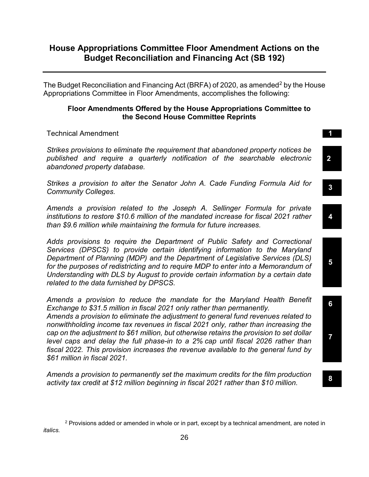## **House Appropriations Committee Floor Amendment Actions on the Budget Reconciliation and Financing Act (SB 192)**

The Budget Reconciliation and Financing Act (BRFA) of [2](#page-27-0)020, as amended<sup>2</sup> by the House Appropriations Committee in Floor Amendments, accomplishes the following:

#### **Floor Amendments Offered by the House Appropriations Committee to the Second House Committee Reprints**

Technical Amendment **1**

*Strikes provisions to eliminate the requirement that abandoned property notices be published and require a quarterly notification of the searchable electronic abandoned property database.*

**2** 

**4** 

**5** 

**7** 

*Strikes a provision to alter the Senator John A. Cade Funding Formula Aid for Community Colleges.* **<sup>3</sup>**

*Amends a provision related to the Joseph A. Sellinger Formula for private institutions to restore \$10.6 million of the mandated increase for fiscal 2021 rather than \$9.6 million while maintaining the formula for future increases.*

*Adds provisions to require the Department of Public Safety and Correctional Services (DPSCS) to provide certain identifying information to the Maryland Department of Planning (MDP) and the Department of Legislative Services (DLS) for the purposes of redistricting and to require MDP to enter into a Memorandum of Understanding with DLS by August to provide certain information by a certain date related to the data furnished by DPSCS.*

*Amends a provision to reduce the mandate for the Maryland Health Benefit Exchange to \$31.5 million in fiscal 2021 only rather than permanently.* **<sup>6</sup>** *Amends a provision to eliminate the adjustment to general fund revenues related to nonwithholding income tax revenues in fiscal 2021 only, rather than increasing the cap on the adjustment to \$61 million, but otherwise retains the provision to set dollar level caps and delay the full phase-in to a 2% cap until fiscal 2026 rather than fiscal 2022. This provision increases the revenue available to the general fund by \$61 million in fiscal 2021.*

*Amends a provision to permanently set the maximum credits for the film production activity tax credit at \$12 million beginning in fiscal 2021 rather than \$10 million.* **<sup>8</sup>**

<span id="page-27-0"></span><sup>2</sup> Provisions added or amended in whole or in part, except by a technical amendment, are noted in *italics.*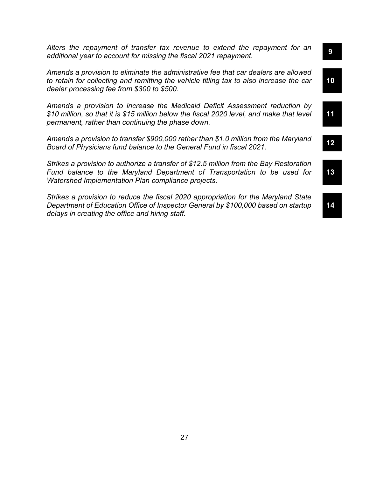*Alters the repayment of transfer tax revenue to extend the repayment for an additional year to account for missing the fiscal 2021 repayment.* **<sup>9</sup>**

*Amends a provision to eliminate the administrative fee that car dealers are allowed to retain for collecting and remitting the vehicle titling tax to also increase the car dealer processing fee from \$300 to \$500.* 

*Amends a provision to increase the Medicaid Deficit Assessment reduction by \$10 million, so that it is \$15 million below the fiscal 2020 level, and make that level permanent, rather than continuing the phase down.* 

*Amends a provision to transfer \$900,000 rather than \$1.0 million from the Maryland Board of Physicians fund balance to the General Fund in fiscal 2021.* **<sup>12</sup>**

*Strikes a provision to authorize a transfer of \$12.5 million from the Bay Restoration Fund balance to the Maryland Department of Transportation to be used for Watershed Implementation Plan compliance projects.*

*Strikes a provision to reduce the fiscal 2020 appropriation for the Maryland State Department of Education Office of Inspector General by \$100,000 based on startup delays in creating the office and hiring staff.*

**10**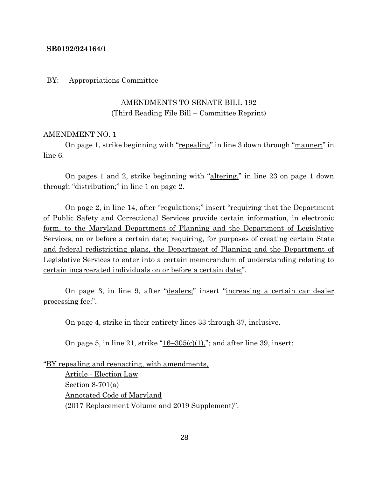#### **SB0192/924164/1**

BY: Appropriations Committee

## AMENDMENTS TO SENATE BILL 192 (Third Reading File Bill – Committee Reprint)

#### AMENDMENT NO. 1

On page 1, strike beginning with "repealing" in line 3 down through "manner;" in line 6.

On pages 1 and 2, strike beginning with "altering," in line 23 on page 1 down through "distribution;" in line 1 on page 2.

On page 2, in line 14, after "regulations;" insert "requiring that the Department of Public Safety and Correctional Services provide certain information, in electronic form, to the Maryland Department of Planning and the Department of Legislative Services, on or before a certain date; requiring, for purposes of creating certain State and federal redistricting plans, the Department of Planning and the Department of Legislative Services to enter into a certain memorandum of understanding relating to certain incarcerated individuals on or before a certain date;".

On page 3, in line 9, after "dealers;" insert "increasing a certain car dealer processing fee;".

On page 4, strike in their entirety lines 33 through 37, inclusive.

On page 5, in line 21, strike  $16-305(c)(1)$ ,"; and after line 39, insert:

"BY repealing and reenacting, with amendments, Article - Election Law Section 8-701(a) Annotated Code of Maryland (2017 Replacement Volume and 2019 Supplement)".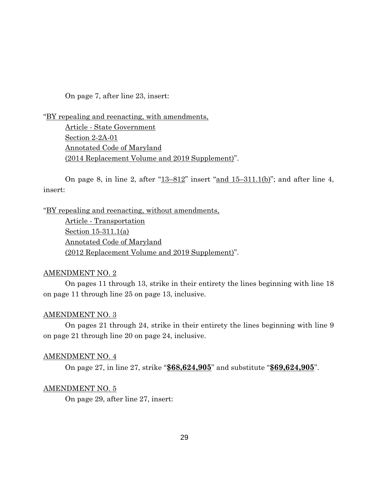On page 7, after line 23, insert:

"BY repealing and reenacting, with amendments, Article - State Government Section 2-2A-01 Annotated Code of Maryland (2014 Replacement Volume and 2019 Supplement)".

On page 8, in line 2, after "13–812" insert "and 15–311.1(b)"; and after line 4, insert:

"BY repealing and reenacting, without amendments,

 Article - Transportation Section 15-311.1(a) Annotated Code of Maryland (2012 Replacement Volume and 2019 Supplement)".

### AMENDMENT NO. 2

 On pages 11 through 13, strike in their entirety the lines beginning with line 18 on page 11 through line 25 on page 13, inclusive.

#### AMENDMENT NO. 3

 On pages 21 through 24, strike in their entirety the lines beginning with line 9 on page 21 through line 20 on page 24, inclusive.

#### AMENDMENT NO. 4

On page 27, in line 27, strike "**\$68,624,905**" and substitute "**\$69,624,905**".

#### AMENDMENT NO. 5

On page 29, after line 27, insert: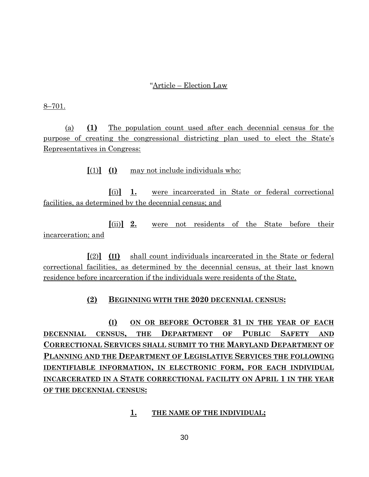#### "Article – Election Law

8–701.

 (a) **(1)** The population count used after each decennial census for the purpose of creating the congressional districting plan used to elect the State's Representatives in Congress:

**[**(1)**] (I)** may not include individuals who:

 **[**(i)**] 1.** were incarcerated in State or federal correctional facilities, as determined by the decennial census; and

 **[**(ii)**] 2.** were not residents of the State before their incarceration; and

 **[**(2)**] (II)** shall count individuals incarcerated in the State or federal correctional facilities, as determined by the decennial census, at their last known residence before incarceration if the individuals were residents of the State.

### **(2) BEGINNING WITH THE 2020 DECENNIAL CENSUS:**

 **(I) ON OR BEFORE OCTOBER 31 IN THE YEAR OF EACH DECENNIAL CENSUS, THE DEPARTMENT OF PUBLIC SAFETY AND CORRECTIONAL SERVICES SHALL SUBMIT TO THE MARYLAND DEPARTMENT OF PLANNING AND THE DEPARTMENT OF LEGISLATIVE SERVICES THE FOLLOWING IDENTIFIABLE INFORMATION, IN ELECTRONIC FORM, FOR EACH INDIVIDUAL INCARCERATED IN A STATE CORRECTIONAL FACILITY ON APRIL 1 IN THE YEAR OF THE DECENNIAL CENSUS:** 

**1. THE NAME OF THE INDIVIDUAL;**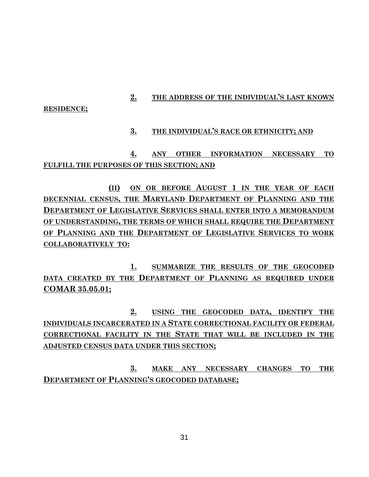### **2. THE ADDRESS OF THE INDIVIDUAL'S LAST KNOWN**

#### **RESIDENCE;**

## **3. THE INDIVIDUAL'S RACE OR ETHNICITY; AND**

# **4. ANY OTHER INFORMATION NECESSARY TO FULFILL THE PURPOSES OF THIS SECTION; AND**

 **(II) ON OR BEFORE AUGUST 1 IN THE YEAR OF EACH DECENNIAL CENSUS, THE MARYLAND DEPARTMENT OF PLANNING AND THE DEPARTMENT OF LEGISLATIVE SERVICES SHALL ENTER INTO A MEMORANDUM OF UNDERSTANDING, THE TERMS OF WHICH SHALL REQUIRE THE DEPARTMENT OF PLANNING AND THE DEPARTMENT OF LEGISLATIVE SERVICES TO WORK COLLABORATIVELY TO:** 

 **1. SUMMARIZE THE RESULTS OF THE GEOCODED DATA CREATED BY THE DEPARTMENT OF PLANNING AS REQUIRED UNDER COMAR 35.05.01;** 

 **2. USING THE GEOCODED DATA, IDENTIFY THE INDIVIDUALS INCARCERATED IN A STATE CORRECTIONAL FACILITY OR FEDERAL CORRECTIONAL FACILITY IN THE STATE THAT WILL BE INCLUDED IN THE ADJUSTED CENSUS DATA UNDER THIS SECTION;** 

 **3. MAKE ANY NECESSARY CHANGES TO THE DEPARTMENT OF PLANNING'S GEOCODED DATABASE;**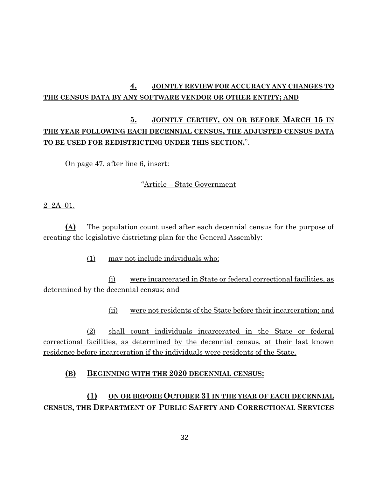## **4. JOINTLY REVIEW FOR ACCURACY ANY CHANGES TO THE CENSUS DATA BY ANY SOFTWARE VENDOR OR OTHER ENTITY; AND**

# **5. JOINTLY CERTIFY, ON OR BEFORE MARCH 15 IN THE YEAR FOLLOWING EACH DECENNIAL CENSUS, THE ADJUSTED CENSUS DATA TO BE USED FOR REDISTRICTING UNDER THIS SECTION.**".

On page 47, after line 6, insert:

#### "Article – State Government

#### 2–2A–01.

**(A)** The population count used after each decennial census for the purpose of creating the legislative districting plan for the General Assembly:

(1) may not include individuals who:

 (i) were incarcerated in State or federal correctional facilities, as determined by the decennial census; and

(ii) were not residents of the State before their incarceration; and

 (2) shall count individuals incarcerated in the State or federal correctional facilities, as determined by the decennial census, at their last known residence before incarceration if the individuals were residents of the State.

#### **(B) BEGINNING WITH THE 2020 DECENNIAL CENSUS:**

## **(1) ON OR BEFORE OCTOBER 31 IN THE YEAR OF EACH DECENNIAL CENSUS, THE DEPARTMENT OF PUBLIC SAFETY AND CORRECTIONAL SERVICES**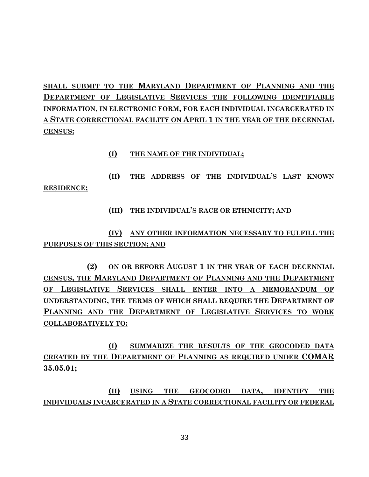**SHALL SUBMIT TO THE MARYLAND DEPARTMENT OF PLANNING AND THE DEPARTMENT OF LEGISLATIVE SERVICES THE FOLLOWING IDENTIFIABLE INFORMATION, IN ELECTRONIC FORM, FOR EACH INDIVIDUAL INCARCERATED IN A STATE CORRECTIONAL FACILITY ON APRIL 1 IN THE YEAR OF THE DECENNIAL CENSUS:** 

- **(I) THE NAME OF THE INDIVIDUAL;**
- **(II) THE ADDRESS OF THE INDIVIDUAL'S LAST KNOWN**

**RESIDENCE;** 

**(III) THE INDIVIDUAL'S RACE OR ETHNICITY; AND**

 **(IV) ANY OTHER INFORMATION NECESSARY TO FULFILL THE PURPOSES OF THIS SECTION; AND**

 **(2) ON OR BEFORE AUGUST 1 IN THE YEAR OF EACH DECENNIAL CENSUS, THE MARYLAND DEPARTMENT OF PLANNING AND THE DEPARTMENT OF LEGISLATIVE SERVICES SHALL ENTER INTO A MEMORANDUM OF UNDERSTANDING, THE TERMS OF WHICH SHALL REQUIRE THE DEPARTMENT OF PLANNING AND THE DEPARTMENT OF LEGISLATIVE SERVICES TO WORK COLLABORATIVELY TO:** 

 **(I) SUMMARIZE THE RESULTS OF THE GEOCODED DATA CREATED BY THE DEPARTMENT OF PLANNING AS REQUIRED UNDER COMAR 35.05.01;**

 **(II) USING THE GEOCODED DATA, IDENTIFY THE INDIVIDUALS INCARCERATED IN A STATE CORRECTIONAL FACILITY OR FEDERAL**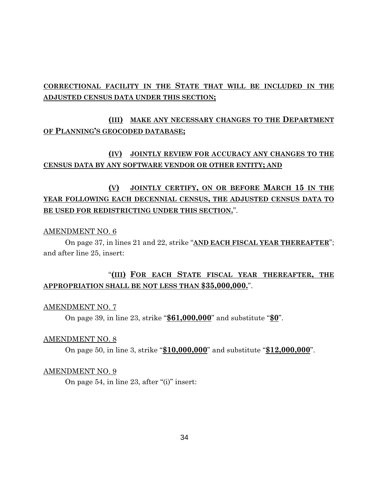## **CORRECTIONAL FACILITY IN THE STATE THAT WILL BE INCLUDED IN THE ADJUSTED CENSUS DATA UNDER THIS SECTION;**

## **(III) MAKE ANY NECESSARY CHANGES TO THE DEPARTMENT OF PLANNING'S GEOCODED DATABASE;**

## **(IV) JOINTLY REVIEW FOR ACCURACY ANY CHANGES TO THE CENSUS DATA BY ANY SOFTWARE VENDOR OR OTHER ENTITY; AND**

# **(V) JOINTLY CERTIFY, ON OR BEFORE MARCH 15 IN THE YEAR FOLLOWING EACH DECENNIAL CENSUS, THE ADJUSTED CENSUS DATA TO BE USED FOR REDISTRICTING UNDER THIS SECTION.**".

#### AMENDMENT NO. 6

 On page 37, in lines 21 and 22, strike "**AND EACH FISCAL YEAR THEREAFTER**"; and after line 25, insert:

## "**(III) FOR EACH STATE FISCAL YEAR THEREAFTER, THE APPROPRIATION SHALL BE NOT LESS THAN \$35,000,000.**".

#### AMENDMENT NO. 7

On page 39, in line 23, strike "**\$61,000,000**" and substitute "**\$0**".

#### AMENDMENT NO. 8

On page 50, in line 3, strike "**\$10,000,000**" and substitute "**\$12,000,000**".

#### AMENDMENT NO. 9

On page 54, in line 23, after "(i)" insert: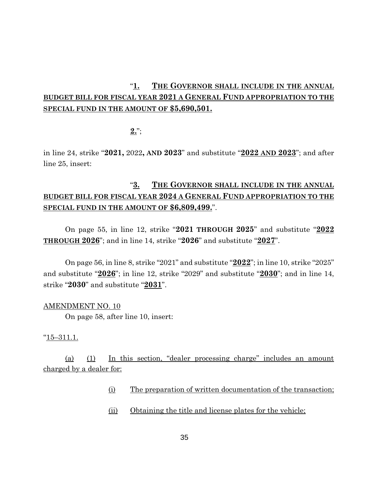# "**1. THE GOVERNOR SHALL INCLUDE IN THE ANNUAL BUDGET BILL FOR FISCAL YEAR 2021 A GENERAL FUND APPROPRIATION TO THE SPECIAL FUND IN THE AMOUNT OF \$5,690,501.**

**2.**";

in line 24, strike "**2021,** 2022**, AND 2023**" and substitute "**2022 AND 2023**"; and after line 25, insert:

# "**3. THE GOVERNOR SHALL INCLUDE IN THE ANNUAL BUDGET BILL FOR FISCAL YEAR 2024 A GENERAL FUND APPROPRIATION TO THE SPECIAL FUND IN THE AMOUNT OF \$6,809,499.**".

On page 55, in line 12, strike "**2021 THROUGH 2025**" and substitute "**2022 THROUGH 2026**"; and in line 14, strike "**2026**" and substitute "**2027**".

On page 56, in line 8, strike "2021" and substitute "**2022**"; in line 10, strike "2025" and substitute "**2026**"; in line 12, strike "2029" and substitute "**2030**"; and in line 14, strike "**2030**" and substitute "**2031**".

#### AMENDMENT NO. 10

On page 58, after line 10, insert:

#### $"15-311.1.$

 (a) (1) In this section, "dealer processing charge" includes an amount charged by a dealer for:

- (i) The preparation of written documentation of the transaction;
- (ii) Obtaining the title and license plates for the vehicle;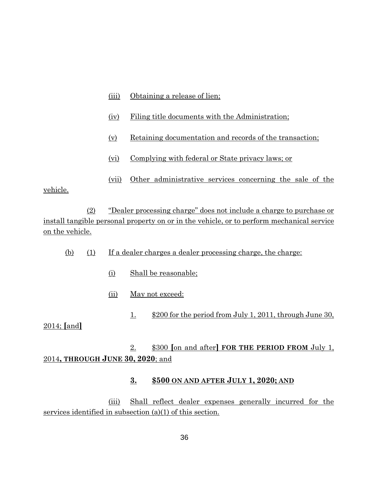- (iii) Obtaining a release of lien;
- (iv) Filing title documents with the Administration;
- (v) Retaining documentation and records of the transaction;
- (vi) Complying with federal or State privacy laws; or
- (vii) Other administrative services concerning the sale of the

vehicle.

 (2) "Dealer processing charge" does not include a charge to purchase or install tangible personal property on or in the vehicle, or to perform mechanical service on the vehicle.

- (b) (1) If a dealer charges a dealer processing charge, the charge:
	- (i) Shall be reasonable;
	- (ii) May not exceed:
		- 1. \$200 for the period from July 1, 2011, through June 30,

2014; **[**and**]** 

## 2. \$300 **[**on and after**] FOR THE PERIOD FROM** July 1, 2014**, THROUGH JUNE 30, 2020**; and

#### **3. \$500 ON AND AFTER JULY 1, 2020; AND**

 (iii) Shall reflect dealer expenses generally incurred for the services identified in subsection (a)(1) of this section.